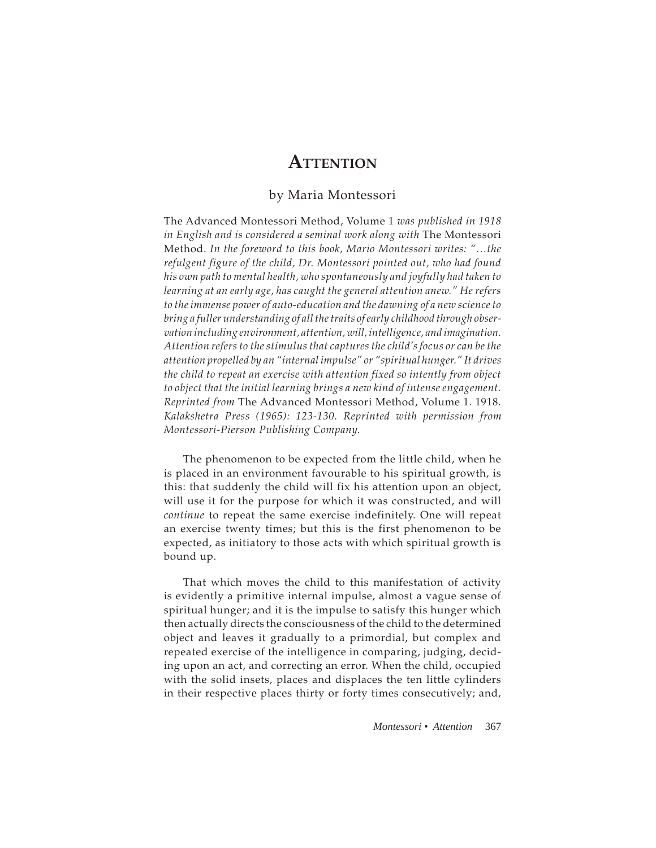## **ATTENTION**

## by Maria Montessori

The Advanced Montessori Method, Volume 1 *was published in 1918 in English and is considered a seminal work along with* The Montessori Method. *In the foreword to this book, Mario Montessori writes: "…the refulgent figure of the child, Dr. Montessori pointed out, who had found his own path to mental health, who spontaneously and joyfully had taken to learning at an early age, has caught the general attention anew." He refers to the immense power of auto-education and the dawning of a new science to bring a fuller understanding of all the traits of early childhood through observation including environment, attention, will, intelligence, and imagination. Attention refers to the stimulus that captures the child's focus or can be the attention propelled by an "internal impulse" or "spiritual hunger." It drives the child to repeat an exercise with attention fixed so intently from object*  to object that the initial learning brings a new kind of intense engagement. *Reprinted from* The Advanced Montessori Method, Volume 1. 1918. *Kalakshetra Press (1965): 123-130. Reprinted with permission from Montessori-Pierson Publishing Company.*

The phenomenon to be expected from the little child, when he is placed in an environment favourable to his spiritual growth, is this: that suddenly the child will fix his attention upon an object, will use it for the purpose for which it was constructed, and will *continue* to repeat the same exercise indefinitely. One will repeat an exercise twenty times; but this is the first phenomenon to be expected, as initiatory to those acts with which spiritual growth is bound up.

That which moves the child to this manifestation of activity is evidently a primitive internal impulse, almost a vague sense of spiritual hunger; and it is the impulse to satisfy this hunger which then actually directs the consciousness of the child to the determined object and leaves it gradually to a primordial, but complex and repeated exercise of the intelligence in comparing, judging, deciding upon an act, and correcting an error. When the child, occupied with the solid insets, places and displaces the ten little cylinders in their respective places thirty or forty times consecutively; and,

*Montessori • Attention* 367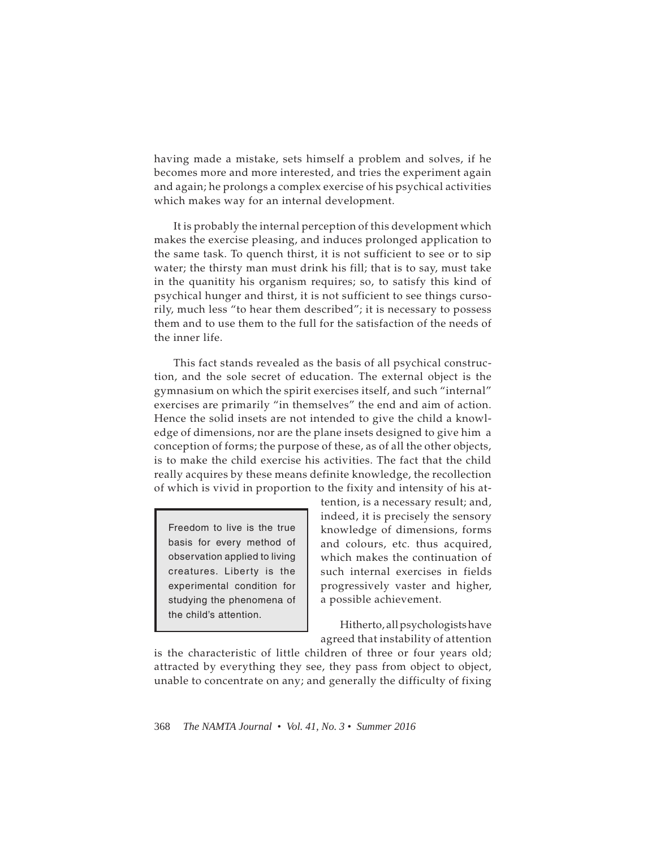having made a mistake, sets himself a problem and solves, if he becomes more and more interested, and tries the experiment again and again; he prolongs a complex exercise of his psychical activities which makes way for an internal development.

It is probably the internal perception of this development which makes the exercise pleasing, and induces prolonged application to the same task. To quench thirst, it is not sufficient to see or to sip water; the thirsty man must drink his fill; that is to say, must take in the quanitity his organism requires; so, to satisfy this kind of psychical hunger and thirst, it is not sufficient to see things cursorily, much less "to hear them described"; it is necessary to possess them and to use them to the full for the satisfaction of the needs of the inner life.

This fact stands revealed as the basis of all psychical construction, and the sole secret of education. The external object is the gymnasium on which the spirit exercises itself, and such "internal" exercises are primarily "in themselves" the end and aim of action. Hence the solid insets are not intended to give the child a knowledge of dimensions, nor are the plane insets designed to give him a conception of forms; the purpose of these, as of all the other objects, is to make the child exercise his activities. The fact that the child really acquires by these means definite knowledge, the recollection of which is vivid in proportion to the fixity and intensity of his at-

Freedom to live is the true basis for every method of observation applied to living creatures. Liberty is the experimental condition for studying the phenomena of the child's attention.

tention, is a necessary result; and, indeed, it is precisely the sensory knowledge of dimensions, forms and colours, etc. thus acquired, which makes the continuation of such internal exercises in fields progressively vaster and higher, a possible achievement.

Hitherto, all psychologists have agreed that instability of attention

is the characteristic of little children of three or four years old; attracted by everything they see, they pass from object to object, unable to concentrate on any; and generally the difficulty of fixing

368 *The NAMTA Journal • Vol. 41, No. 3 • Summer 2016*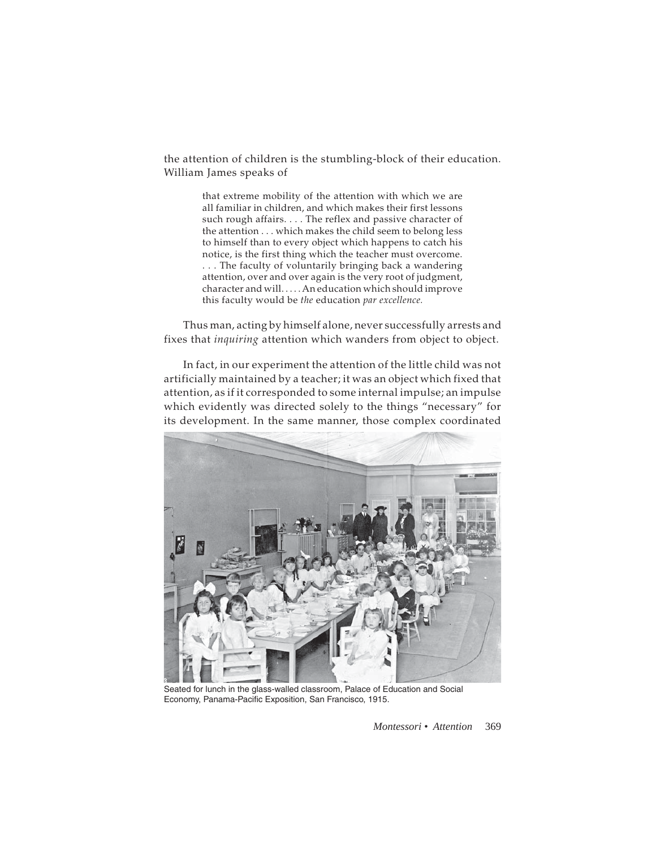the attention of children is the stumbling-block of their education. William James speaks of

> that extreme mobility of the attention with which we are all familiar in children, and which makes their first lessons such rough affairs. . . . The reflex and passive character of the attention . . . which makes the child seem to belong less to himself than to every object which happens to catch his notice, is the first thing which the teacher must overcome. . . . The faculty of voluntarily bringing back a wandering attention, over and over again is the very root of judgment, character and will. . . . . An education which should improve this faculty would be *the* education *par excellence.*

Thus man, acting by himself alone, never successfully arrests and fixes that *inquiring* attention which wanders from object to object.

In fact, in our experiment the attention of the little child was not artificially maintained by a teacher; it was an object which fixed that attention, as if it corresponded to some internal impulse; an impulse which evidently was directed solely to the things "necessary" for its development. In the same manner, those complex coordinated



Seated for lunch in the glass-walled classroom, Palace of Education and Social Economy, Panama-Pacific Exposition, San Francisco, 1915.

*Montessori • Attention* 369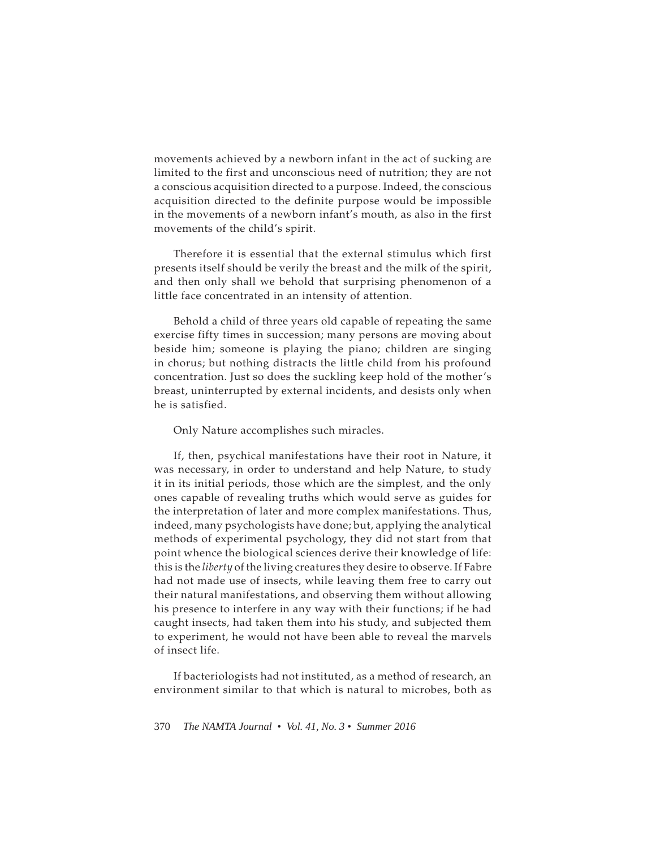movements achieved by a newborn infant in the act of sucking are limited to the first and unconscious need of nutrition; they are not a conscious acquisition directed to a purpose. Indeed, the conscious acquisition directed to the definite purpose would be impossible in the movements of a newborn infant's mouth, as also in the first movements of the child's spirit.

Therefore it is essential that the external stimulus which first presents itself should be verily the breast and the milk of the spirit, and then only shall we behold that surprising phenomenon of a little face concentrated in an intensity of attention.

Behold a child of three years old capable of repeating the same exercise fifty times in succession; many persons are moving about beside him; someone is playing the piano; children are singing in chorus; but nothing distracts the little child from his profound concentration. Just so does the suckling keep hold of the mother's breast, uninterrupted by external incidents, and desists only when he is satisfied.

## Only Nature accomplishes such miracles.

If, then, psychical manifestations have their root in Nature, it was necessary, in order to understand and help Nature, to study it in its initial periods, those which are the simplest, and the only ones capable of revealing truths which would serve as guides for the interpretation of later and more complex manifestations. Thus, indeed, many psychologists have done; but, applying the analytical methods of experimental psychology, they did not start from that point whence the biological sciences derive their knowledge of life: this is the *liberty* of the living creatures they desire to observe. If Fabre had not made use of insects, while leaving them free to carry out their natural manifestations, and observing them without allowing his presence to interfere in any way with their functions; if he had caught insects, had taken them into his study, and subjected them to experiment, he would not have been able to reveal the marvels of insect life.

If bacteriologists had not instituted, as a method of research, an environment similar to that which is natural to microbes, both as

370 *The NAMTA Journal • Vol. 41, No. 3 • Summer 2016*